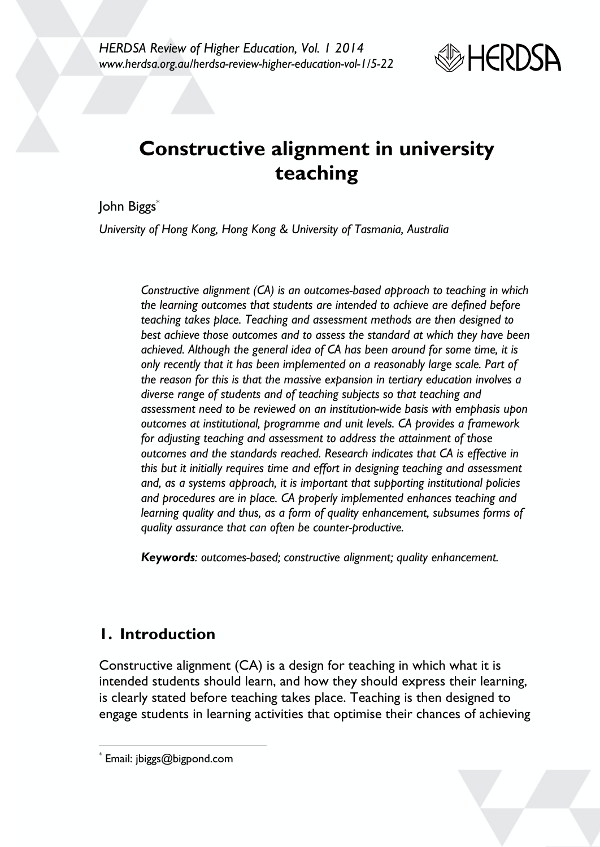

# **Constructive alignment in university teaching**

John Biggs\*

*University of Hong Kong, Hong Kong & University of Tasmania, Australia*

*Constructive alignment (CA) is an outcomes-based approach to teaching in which the learning outcomes that students are intended to achieve are defined before teaching takes place. Teaching and assessment methods are then designed to best achieve those outcomes and to assess the standard at which they have been achieved. Although the general idea of CA has been around for some time, it is only recently that it has been implemented on a reasonably large scale. Part of the reason for this is that the massive expansion in tertiary education involves a diverse range of students and of teaching subjects so that teaching and assessment need to be reviewed on an institution-wide basis with emphasis upon outcomes at institutional, programme and unit levels. CA provides a framework for adjusting teaching and assessment to address the attainment of those outcomes and the standards reached. Research indicates that CA is effective in this but it initially requires time and effort in designing teaching and assessment and, as a systems approach, it is important that supporting institutional policies and procedures are in place. CA properly implemented enhances teaching and learning quality and thus, as a form of quality enhancement, subsumes forms of quality assurance that can often be counter-productive.*

*Keywords: outcomes-based; constructive alignment; quality enhancement.*

# **1. Introduction**

Constructive alignment (CA) is a design for teaching in which what it is intended students should learn, and how they should express their learning, is clearly stated before teaching takes place. Teaching is then designed to engage students in learning activities that optimise their chances of achieving



Email: jbiggs@bigpond.com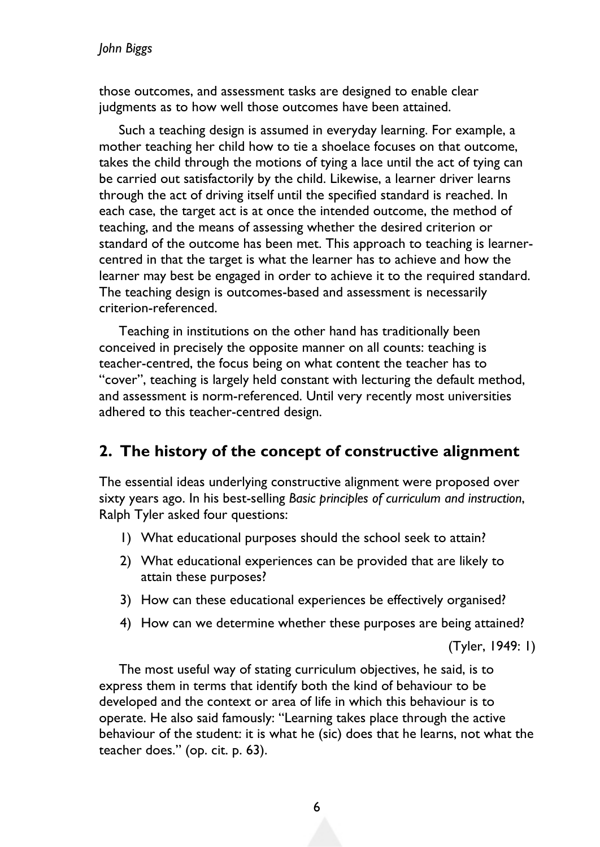#### *John Biggs*

those outcomes, and assessment tasks are designed to enable clear judgments as to how well those outcomes have been attained.

Such a teaching design is assumed in everyday learning. For example, a mother teaching her child how to tie a shoelace focuses on that outcome, takes the child through the motions of tying a lace until the act of tying can be carried out satisfactorily by the child. Likewise, a learner driver learns through the act of driving itself until the specified standard is reached. In each case, the target act is at once the intended outcome, the method of teaching, and the means of assessing whether the desired criterion or standard of the outcome has been met. This approach to teaching is learnercentred in that the target is what the learner has to achieve and how the learner may best be engaged in order to achieve it to the required standard. The teaching design is outcomes-based and assessment is necessarily criterion-referenced.

Teaching in institutions on the other hand has traditionally been conceived in precisely the opposite manner on all counts: teaching is teacher-centred, the focus being on what content the teacher has to "cover", teaching is largely held constant with lecturing the default method, and assessment is norm-referenced. Until very recently most universities adhered to this teacher-centred design.

### **2. The history of the concept of constructive alignment**

The essential ideas underlying constructive alignment were proposed over sixty years ago. In his best-selling *Basic principles of curriculum and instruction*, Ralph Tyler asked four questions:

- 1) What educational purposes should the school seek to attain?
- 2) What educational experiences can be provided that are likely to attain these purposes?
- 3) How can these educational experiences be effectively organised?
- 4) How can we determine whether these purposes are being attained?

(Tyler, 1949: 1)

The most useful way of stating curriculum objectives, he said, is to express them in terms that identify both the kind of behaviour to be developed and the context or area of life in which this behaviour is to operate. He also said famously: "Learning takes place through the active behaviour of the student: it is what he (sic) does that he learns, not what the teacher does." (op. cit. p. 63).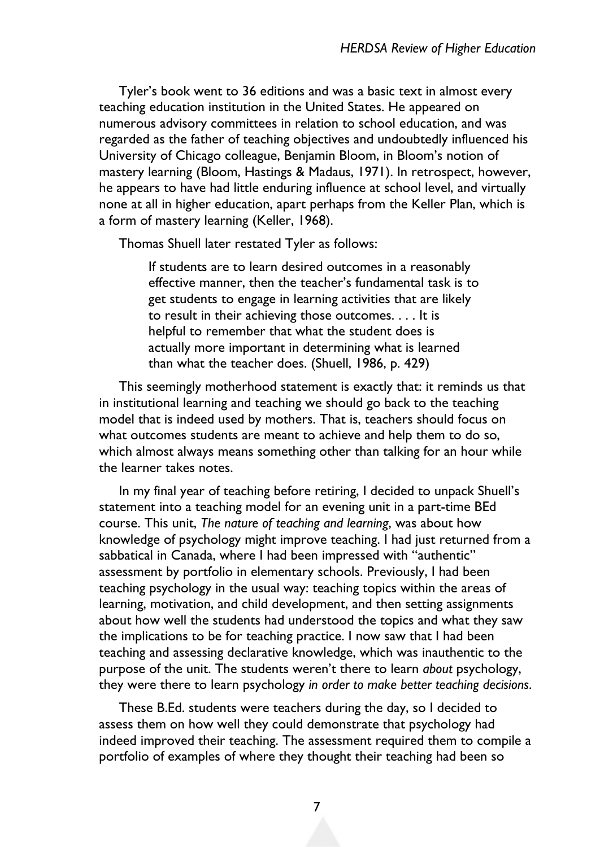Tyler's book went to 36 editions and was a basic text in almost every teaching education institution in the United States. He appeared on numerous advisory committees in relation to school education, and was regarded as the father of teaching objectives and undoubtedly influenced his University of Chicago colleague, Benjamin Bloom, in Bloom's notion of mastery learning (Bloom, Hastings & Madaus, 1971). In retrospect, however, he appears to have had little enduring influence at school level, and virtually none at all in higher education, apart perhaps from the Keller Plan, which is a form of mastery learning (Keller, 1968).

Thomas Shuell later restated Tyler as follows:

If students are to learn desired outcomes in a reasonably effective manner, then the teacher's fundamental task is to get students to engage in learning activities that are likely to result in their achieving those outcomes. . . . It is helpful to remember that what the student does is actually more important in determining what is learned than what the teacher does. (Shuell, 1986, p. 429)

This seemingly motherhood statement is exactly that: it reminds us that in institutional learning and teaching we should go back to the teaching model that is indeed used by mothers. That is, teachers should focus on what outcomes students are meant to achieve and help them to do so, which almost always means something other than talking for an hour while the learner takes notes.

In my final year of teaching before retiring, I decided to unpack Shuell's statement into a teaching model for an evening unit in a part-time BEd course. This unit, *The nature of teaching and learning*, was about how knowledge of psychology might improve teaching. I had just returned from a sabbatical in Canada, where I had been impressed with "authentic" assessment by portfolio in elementary schools. Previously, I had been teaching psychology in the usual way: teaching topics within the areas of learning, motivation, and child development, and then setting assignments about how well the students had understood the topics and what they saw the implications to be for teaching practice. I now saw that I had been teaching and assessing declarative knowledge, which was inauthentic to the purpose of the unit. The students weren't there to learn *about* psychology, they were there to learn psychology *in order to make better teaching decisions*.

These B.Ed. students were teachers during the day, so I decided to assess them on how well they could demonstrate that psychology had indeed improved their teaching. The assessment required them to compile a portfolio of examples of where they thought their teaching had been so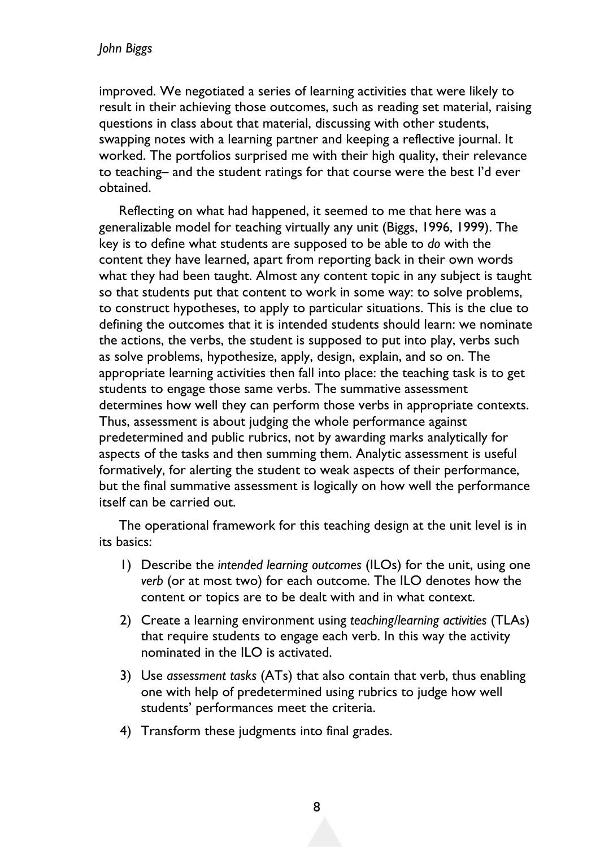improved. We negotiated a series of learning activities that were likely to result in their achieving those outcomes, such as reading set material, raising questions in class about that material, discussing with other students, swapping notes with a learning partner and keeping a reflective journal. It worked. The portfolios surprised me with their high quality, their relevance to teaching– and the student ratings for that course were the best I'd ever obtained.

Reflecting on what had happened, it seemed to me that here was a generalizable model for teaching virtually any unit (Biggs, 1996, 1999). The key is to define what students are supposed to be able to *do* with the content they have learned, apart from reporting back in their own words what they had been taught. Almost any content topic in any subject is taught so that students put that content to work in some way: to solve problems, to construct hypotheses, to apply to particular situations. This is the clue to defining the outcomes that it is intended students should learn: we nominate the actions, the verbs, the student is supposed to put into play, verbs such as solve problems, hypothesize, apply, design, explain, and so on. The appropriate learning activities then fall into place: the teaching task is to get students to engage those same verbs. The summative assessment determines how well they can perform those verbs in appropriate contexts. Thus, assessment is about judging the whole performance against predetermined and public rubrics, not by awarding marks analytically for aspects of the tasks and then summing them. Analytic assessment is useful formatively, for alerting the student to weak aspects of their performance, but the final summative assessment is logically on how well the performance itself can be carried out.

The operational framework for this teaching design at the unit level is in its basics:

- 1) Describe the *intended learning outcomes* (ILOs) for the unit, using one *verb* (or at most two) for each outcome. The ILO denotes how the content or topics are to be dealt with and in what context.
- 2) Create a learning environment using *teaching/learning activities* (TLAs) that require students to engage each verb. In this way the activity nominated in the ILO is activated.
- 3) Use *assessment tasks* (ATs) that also contain that verb, thus enabling one with help of predetermined using rubrics to judge how well students' performances meet the criteria.
- 4) Transform these judgments into final grades.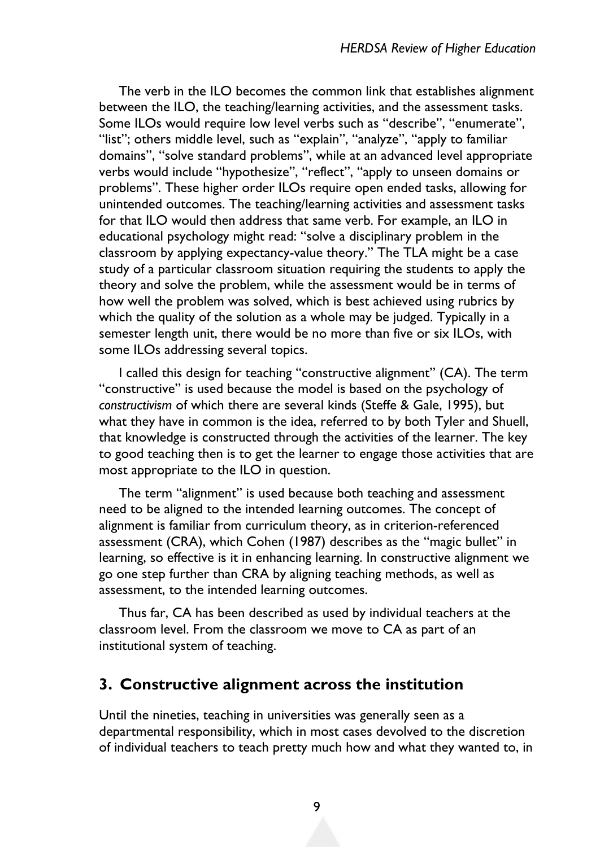The verb in the ILO becomes the common link that establishes alignment between the ILO, the teaching/learning activities, and the assessment tasks. Some ILOs would require low level verbs such as "describe", "enumerate", "list"; others middle level, such as "explain", "analyze", "apply to familiar domains", "solve standard problems", while at an advanced level appropriate verbs would include "hypothesize", "reflect", "apply to unseen domains or problems". These higher order ILOs require open ended tasks, allowing for unintended outcomes. The teaching/learning activities and assessment tasks for that ILO would then address that same verb. For example, an ILO in educational psychology might read: "solve a disciplinary problem in the classroom by applying expectancy-value theory." The TLA might be a case study of a particular classroom situation requiring the students to apply the theory and solve the problem, while the assessment would be in terms of how well the problem was solved, which is best achieved using rubrics by which the quality of the solution as a whole may be judged. Typically in a semester length unit, there would be no more than five or six ILOs, with some ILOs addressing several topics.

I called this design for teaching "constructive alignment" (CA). The term "constructive" is used because the model is based on the psychology of *constructivism* of which there are several kinds (Steffe & Gale, 1995), but what they have in common is the idea, referred to by both Tyler and Shuell, that knowledge is constructed through the activities of the learner. The key to good teaching then is to get the learner to engage those activities that are most appropriate to the ILO in question.

The term "alignment" is used because both teaching and assessment need to be aligned to the intended learning outcomes. The concept of alignment is familiar from curriculum theory, as in criterion-referenced assessment (CRA), which Cohen (1987) describes as the "magic bullet" in learning, so effective is it in enhancing learning. In constructive alignment we go one step further than CRA by aligning teaching methods, as well as assessment, to the intended learning outcomes.

Thus far, CA has been described as used by individual teachers at the classroom level. From the classroom we move to CA as part of an institutional system of teaching.

### **3. Constructive alignment across the institution**

Until the nineties, teaching in universities was generally seen as a departmental responsibility, which in most cases devolved to the discretion of individual teachers to teach pretty much how and what they wanted to, in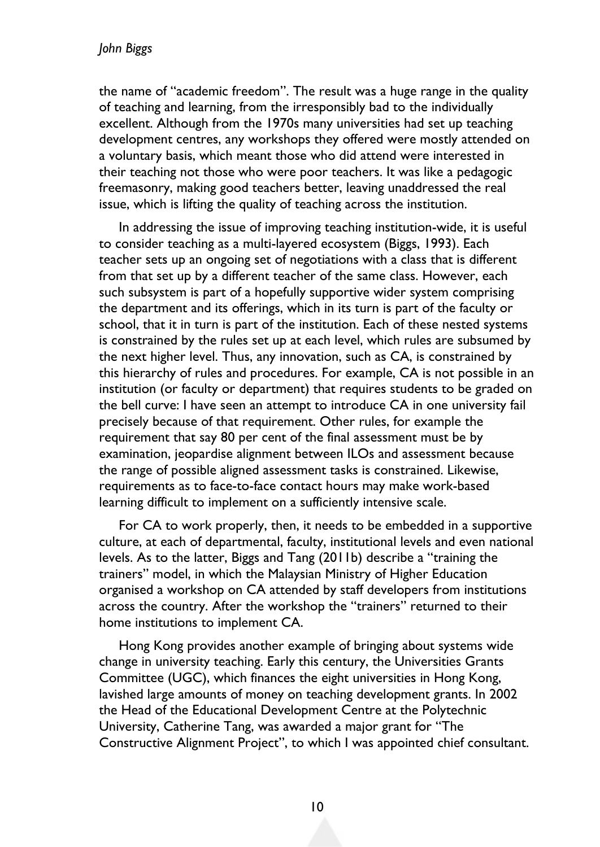the name of "academic freedom". The result was a huge range in the quality of teaching and learning, from the irresponsibly bad to the individually excellent. Although from the 1970s many universities had set up teaching development centres, any workshops they offered were mostly attended on a voluntary basis, which meant those who did attend were interested in their teaching not those who were poor teachers. It was like a pedagogic freemasonry, making good teachers better, leaving unaddressed the real issue, which is lifting the quality of teaching across the institution.

In addressing the issue of improving teaching institution-wide, it is useful to consider teaching as a multi-layered ecosystem (Biggs, 1993). Each teacher sets up an ongoing set of negotiations with a class that is different from that set up by a different teacher of the same class. However, each such subsystem is part of a hopefully supportive wider system comprising the department and its offerings, which in its turn is part of the faculty or school, that it in turn is part of the institution. Each of these nested systems is constrained by the rules set up at each level, which rules are subsumed by the next higher level. Thus, any innovation, such as CA, is constrained by this hierarchy of rules and procedures. For example, CA is not possible in an institution (or faculty or department) that requires students to be graded on the bell curve: I have seen an attempt to introduce CA in one university fail precisely because of that requirement. Other rules, for example the requirement that say 80 per cent of the final assessment must be by examination, jeopardise alignment between ILOs and assessment because the range of possible aligned assessment tasks is constrained. Likewise, requirements as to face-to-face contact hours may make work-based learning difficult to implement on a sufficiently intensive scale.

For CA to work properly, then, it needs to be embedded in a supportive culture, at each of departmental, faculty, institutional levels and even national levels. As to the latter, Biggs and Tang (2011b) describe a "training the trainers" model, in which the Malaysian Ministry of Higher Education organised a workshop on CA attended by staff developers from institutions across the country. After the workshop the "trainers" returned to their home institutions to implement CA.

Hong Kong provides another example of bringing about systems wide change in university teaching. Early this century, the Universities Grants Committee (UGC), which finances the eight universities in Hong Kong, lavished large amounts of money on teaching development grants. In 2002 the Head of the Educational Development Centre at the Polytechnic University, Catherine Tang, was awarded a major grant for "The Constructive Alignment Project", to which I was appointed chief consultant.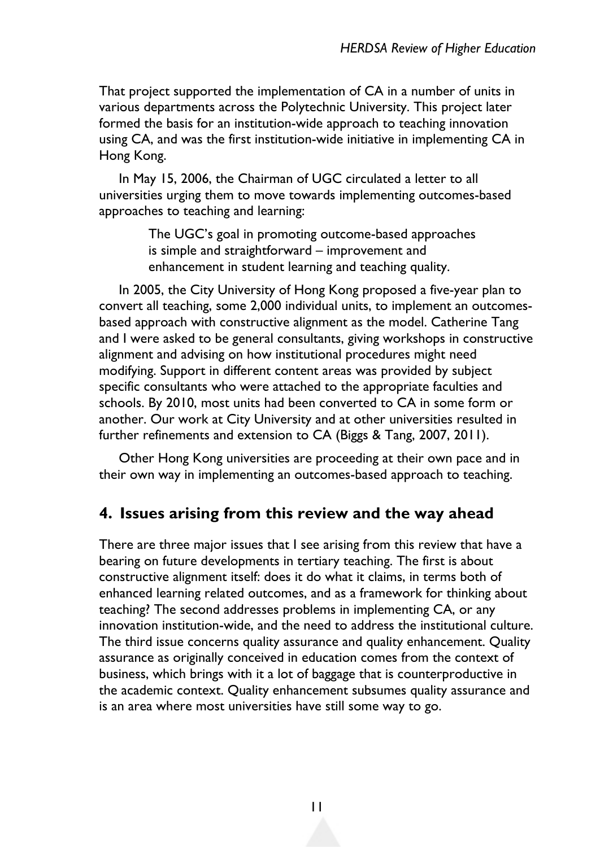That project supported the implementation of CA in a number of units in various departments across the Polytechnic University. This project later formed the basis for an institution-wide approach to teaching innovation using CA, and was the first institution-wide initiative in implementing CA in Hong Kong.

In May 15, 2006, the Chairman of UGC circulated a letter to all universities urging them to move towards implementing outcomes-based approaches to teaching and learning:

> The UGC's goal in promoting outcome-based approaches is simple and straightforward – improvement and enhancement in student learning and teaching quality.

In 2005, the City University of Hong Kong proposed a five-year plan to convert all teaching, some 2,000 individual units, to implement an outcomesbased approach with constructive alignment as the model. Catherine Tang and I were asked to be general consultants, giving workshops in constructive alignment and advising on how institutional procedures might need modifying. Support in different content areas was provided by subject specific consultants who were attached to the appropriate faculties and schools. By 2010, most units had been converted to CA in some form or another. Our work at City University and at other universities resulted in further refinements and extension to CA (Biggs & Tang, 2007, 2011).

Other Hong Kong universities are proceeding at their own pace and in their own way in implementing an outcomes-based approach to teaching.

### **4. Issues arising from this review and the way ahead**

There are three major issues that I see arising from this review that have a bearing on future developments in tertiary teaching. The first is about constructive alignment itself: does it do what it claims, in terms both of enhanced learning related outcomes, and as a framework for thinking about teaching? The second addresses problems in implementing CA, or any innovation institution-wide, and the need to address the institutional culture. The third issue concerns quality assurance and quality enhancement. Quality assurance as originally conceived in education comes from the context of business, which brings with it a lot of baggage that is counterproductive in the academic context. Quality enhancement subsumes quality assurance and is an area where most universities have still some way to go.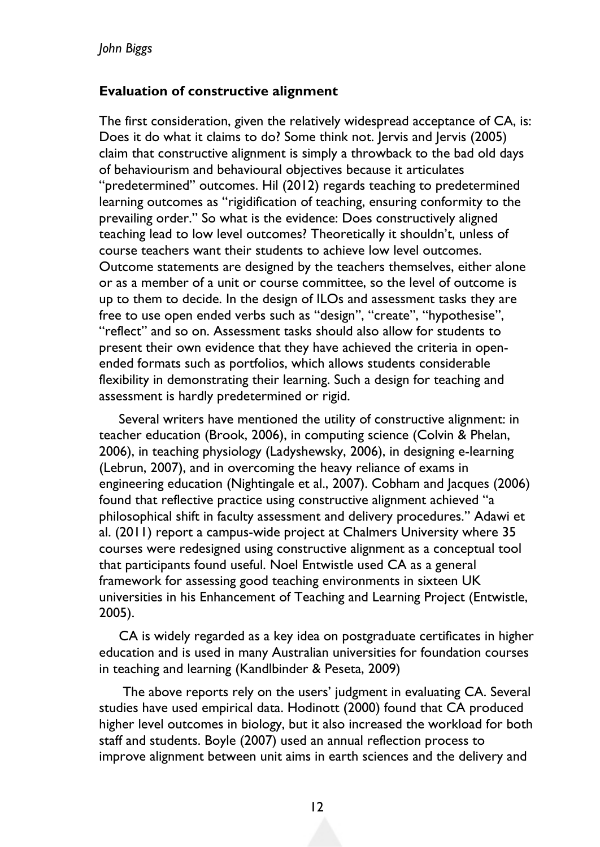#### **Evaluation of constructive alignment**

The first consideration, given the relatively widespread acceptance of CA, is: Does it do what it claims to do? Some think not. Jervis and Jervis (2005) claim that constructive alignment is simply a throwback to the bad old days of behaviourism and behavioural objectives because it articulates "predetermined" outcomes. Hil (2012) regards teaching to predetermined learning outcomes as "rigidification of teaching, ensuring conformity to the prevailing order." So what is the evidence: Does constructively aligned teaching lead to low level outcomes? Theoretically it shouldn't, unless of course teachers want their students to achieve low level outcomes. Outcome statements are designed by the teachers themselves, either alone or as a member of a unit or course committee, so the level of outcome is up to them to decide. In the design of ILOs and assessment tasks they are free to use open ended verbs such as "design", "create", "hypothesise", "reflect" and so on. Assessment tasks should also allow for students to present their own evidence that they have achieved the criteria in openended formats such as portfolios, which allows students considerable flexibility in demonstrating their learning. Such a design for teaching and assessment is hardly predetermined or rigid.

Several writers have mentioned the utility of constructive alignment: in teacher education (Brook, 2006), in computing science (Colvin & Phelan, 2006), in teaching physiology (Ladyshewsky, 2006), in designing e-learning (Lebrun, 2007), and in overcoming the heavy reliance of exams in engineering education (Nightingale et al., 2007). Cobham and Jacques (2006) found that reflective practice using constructive alignment achieved "a philosophical shift in faculty assessment and delivery procedures." Adawi et al. (2011) report a campus-wide project at Chalmers University where 35 courses were redesigned using constructive alignment as a conceptual tool that participants found useful. Noel Entwistle used CA as a general framework for assessing good teaching environments in sixteen UK universities in his Enhancement of Teaching and Learning Project (Entwistle, 2005).

CA is widely regarded as a key idea on postgraduate certificates in higher education and is used in many Australian universities for foundation courses in teaching and learning (Kandlbinder & Peseta, 2009)

The above reports rely on the users' judgment in evaluating CA. Several studies have used empirical data. Hodinott (2000) found that CA produced higher level outcomes in biology, but it also increased the workload for both staff and students. Boyle (2007) used an annual reflection process to improve alignment between unit aims in earth sciences and the delivery and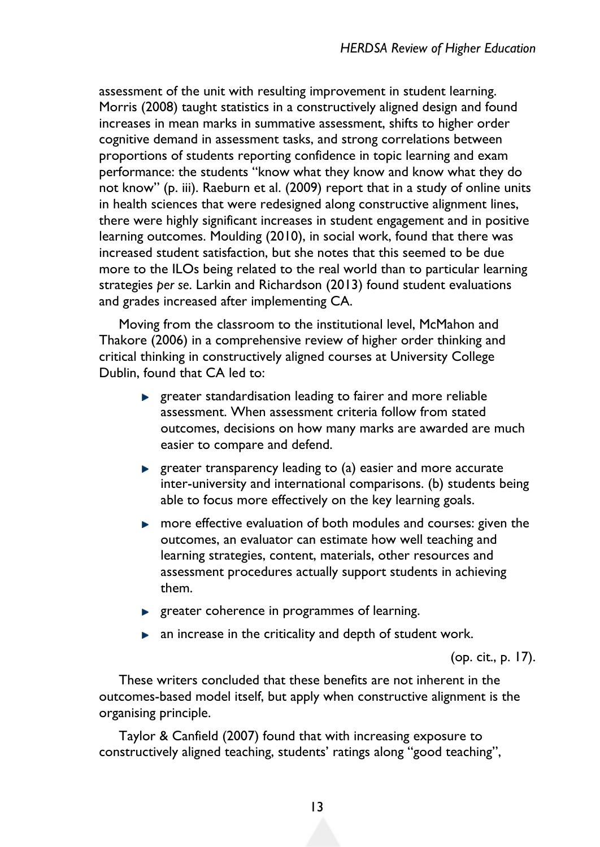assessment of the unit with resulting improvement in student learning. Morris (2008) taught statistics in a constructively aligned design and found increases in mean marks in summative assessment, shifts to higher order cognitive demand in assessment tasks, and strong correlations between proportions of students reporting confidence in topic learning and exam performance: the students "know what they know and know what they do not know" (p. iii). Raeburn et al. (2009) report that in a study of online units in health sciences that were redesigned along constructive alignment lines, there were highly significant increases in student engagement and in positive learning outcomes. Moulding (2010), in social work, found that there was increased student satisfaction, but she notes that this seemed to be due more to the ILOs being related to the real world than to particular learning strategies *per se*. Larkin and Richardson (2013) found student evaluations and grades increased after implementing CA.

Moving from the classroom to the institutional level, McMahon and Thakore (2006) in a comprehensive review of higher order thinking and critical thinking in constructively aligned courses at University College Dublin, found that CA led to:

- **EXE** greater standardisation leading to fairer and more reliable assessment. When assessment criteria follow from stated outcomes, decisions on how many marks are awarded are much easier to compare and defend.
- **EX** greater transparency leading to (a) easier and more accurate inter-university and international comparisons. (b) students being able to focus more effectively on the key learning goals.
- **nore effective evaluation of both modules and courses: given the** outcomes, an evaluator can estimate how well teaching and learning strategies, content, materials, other resources and assessment procedures actually support students in achieving them.
- **P** greater coherence in programmes of learning.
- $\blacktriangleright$  an increase in the criticality and depth of student work.

(op. cit., p. 17).

These writers concluded that these benefits are not inherent in the outcomes-based model itself, but apply when constructive alignment is the organising principle.

Taylor & Canfield (2007) found that with increasing exposure to constructively aligned teaching, students' ratings along "good teaching",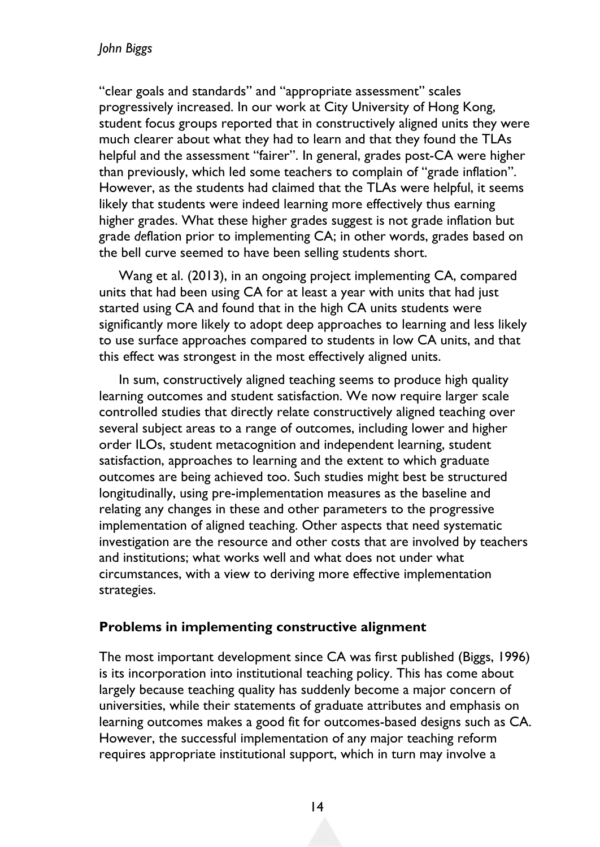#### *John Biggs*

"clear goals and standards" and "appropriate assessment" scales progressively increased. In our work at City University of Hong Kong, student focus groups reported that in constructively aligned units they were much clearer about what they had to learn and that they found the TLAs helpful and the assessment "fairer". In general, grades post-CA were higher than previously, which led some teachers to complain of "grade inflation". However, as the students had claimed that the TLAs were helpful, it seems likely that students were indeed learning more effectively thus earning higher grades. What these higher grades suggest is not grade inflation but grade *de*flation prior to implementing CA; in other words, grades based on the bell curve seemed to have been selling students short.

Wang et al. (2013), in an ongoing project implementing CA, compared units that had been using CA for at least a year with units that had just started using CA and found that in the high CA units students were significantly more likely to adopt deep approaches to learning and less likely to use surface approaches compared to students in low CA units, and that this effect was strongest in the most effectively aligned units.

In sum, constructively aligned teaching seems to produce high quality learning outcomes and student satisfaction. We now require larger scale controlled studies that directly relate constructively aligned teaching over several subject areas to a range of outcomes, including lower and higher order ILOs, student metacognition and independent learning, student satisfaction, approaches to learning and the extent to which graduate outcomes are being achieved too. Such studies might best be structured longitudinally, using pre-implementation measures as the baseline and relating any changes in these and other parameters to the progressive implementation of aligned teaching. Other aspects that need systematic investigation are the resource and other costs that are involved by teachers and institutions; what works well and what does not under what circumstances, with a view to deriving more effective implementation strategies.

#### **Problems in implementing constructive alignment**

The most important development since CA was first published (Biggs, 1996) is its incorporation into institutional teaching policy. This has come about largely because teaching quality has suddenly become a major concern of universities, while their statements of graduate attributes and emphasis on learning outcomes makes a good fit for outcomes-based designs such as CA. However, the successful implementation of any major teaching reform requires appropriate institutional support, which in turn may involve a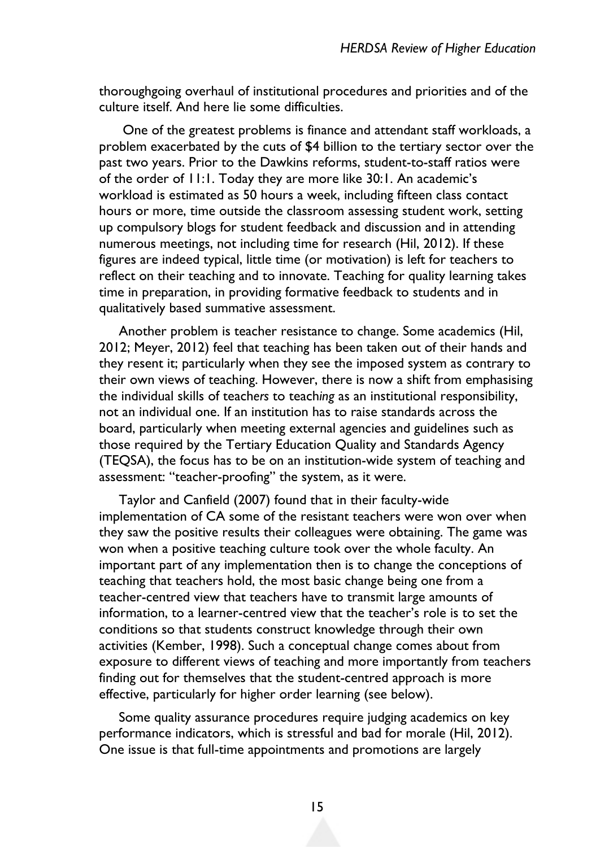thoroughgoing overhaul of institutional procedures and priorities and of the culture itself. And here lie some difficulties.

One of the greatest problems is finance and attendant staff workloads, a problem exacerbated by the cuts of \$4 billion to the tertiary sector over the past two years. Prior to the Dawkins reforms, student-to-staff ratios were of the order of 11:1. Today they are more like 30:1. An academic's workload is estimated as 50 hours a week, including fifteen class contact hours or more, time outside the classroom assessing student work, setting up compulsory blogs for student feedback and discussion and in attending numerous meetings, not including time for research (Hil, 2012). If these figures are indeed typical, little time (or motivation) is left for teachers to reflect on their teaching and to innovate. Teaching for quality learning takes time in preparation, in providing formative feedback to students and in qualitatively based summative assessment.

Another problem is teacher resistance to change. Some academics (Hil, 2012; Meyer, 2012) feel that teaching has been taken out of their hands and they resent it; particularly when they see the imposed system as contrary to their own views of teaching. However, there is now a shift from emphasising the individual skills of teach*ers* to teach*ing* as an institutional responsibility, not an individual one. If an institution has to raise standards across the board, particularly when meeting external agencies and guidelines such as those required by the Tertiary Education Quality and Standards Agency (TEQSA), the focus has to be on an institution-wide system of teaching and assessment: "teacher-proofing" the system, as it were.

Taylor and Canfield (2007) found that in their faculty-wide implementation of CA some of the resistant teachers were won over when they saw the positive results their colleagues were obtaining. The game was won when a positive teaching culture took over the whole faculty. An important part of any implementation then is to change the conceptions of teaching that teachers hold, the most basic change being one from a teacher-centred view that teachers have to transmit large amounts of information, to a learner-centred view that the teacher's role is to set the conditions so that students construct knowledge through their own activities (Kember, 1998). Such a conceptual change comes about from exposure to different views of teaching and more importantly from teachers finding out for themselves that the student-centred approach is more effective, particularly for higher order learning (see below).

Some quality assurance procedures require judging academics on key performance indicators, which is stressful and bad for morale (Hil, 2012). One issue is that full-time appointments and promotions are largely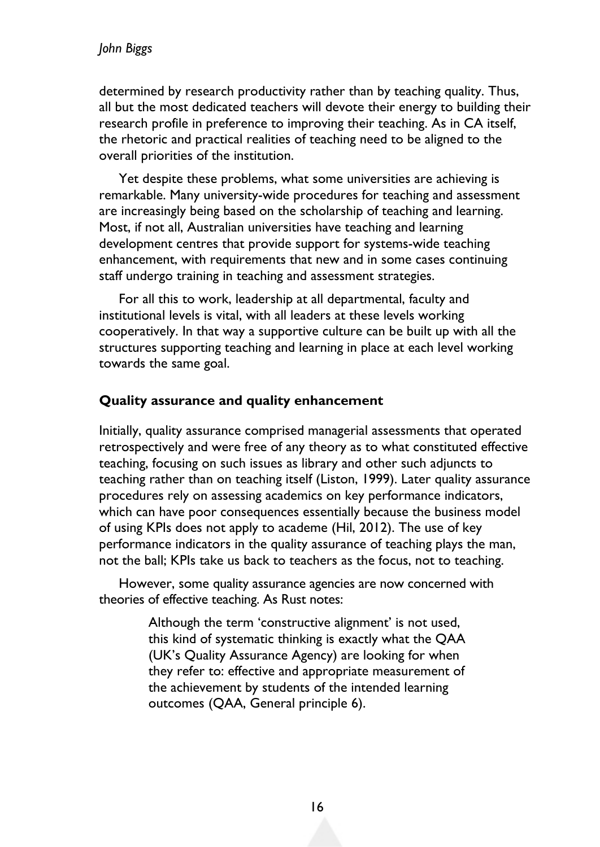determined by research productivity rather than by teaching quality. Thus, all but the most dedicated teachers will devote their energy to building their research profile in preference to improving their teaching. As in CA itself, the rhetoric and practical realities of teaching need to be aligned to the overall priorities of the institution.

Yet despite these problems, what some universities are achieving is remarkable. Many university-wide procedures for teaching and assessment are increasingly being based on the scholarship of teaching and learning. Most, if not all, Australian universities have teaching and learning development centres that provide support for systems-wide teaching enhancement, with requirements that new and in some cases continuing staff undergo training in teaching and assessment strategies.

For all this to work, leadership at all departmental, faculty and institutional levels is vital, with all leaders at these levels working cooperatively. In that way a supportive culture can be built up with all the structures supporting teaching and learning in place at each level working towards the same goal.

#### **Quality assurance and quality enhancement**

Initially, quality assurance comprised managerial assessments that operated retrospectively and were free of any theory as to what constituted effective teaching, focusing on such issues as library and other such adjuncts to teaching rather than on teaching itself (Liston, 1999). Later quality assurance procedures rely on assessing academics on key performance indicators, which can have poor consequences essentially because the business model of using KPIs does not apply to academe (Hil, 2012). The use of key performance indicators in the quality assurance of teaching plays the man, not the ball; KPIs take us back to teachers as the focus, not to teaching.

However, some quality assurance agencies are now concerned with theories of effective teaching. As Rust notes:

> Although the term 'constructive alignment' is not used, this kind of systematic thinking is exactly what the QAA (UK's Quality Assurance Agency) are looking for when they refer to: effective and appropriate measurement of the achievement by students of the intended learning outcomes (QAA, General principle 6).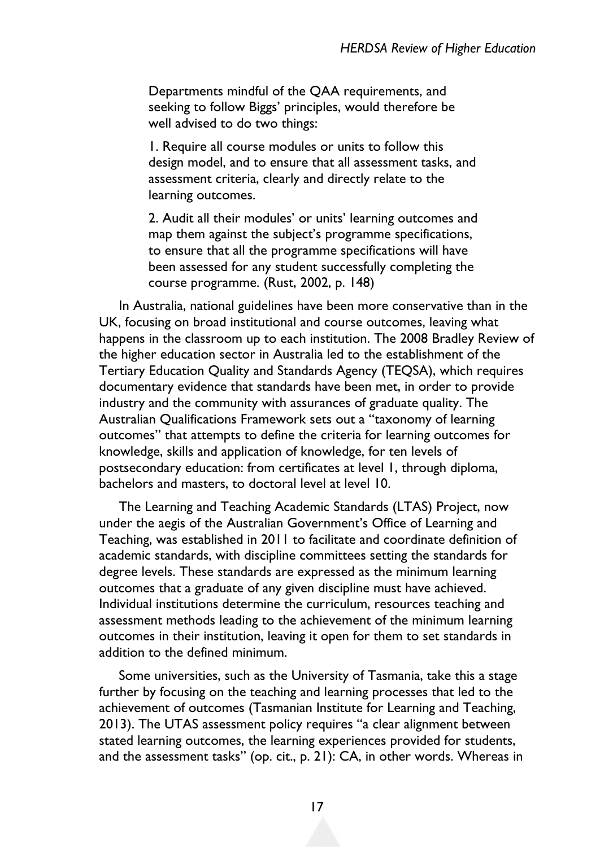Departments mindful of the QAA requirements, and seeking to follow Biggs' principles, would therefore be well advised to do two things:

1. Require all course modules or units to follow this design model, and to ensure that all assessment tasks, and assessment criteria, clearly and directly relate to the learning outcomes.

2. Audit all their modules' or units' learning outcomes and map them against the subject's programme specifications, to ensure that all the programme specifications will have been assessed for any student successfully completing the course programme. (Rust, 2002, p. 148)

In Australia, national guidelines have been more conservative than in the UK, focusing on broad institutional and course outcomes, leaving what happens in the classroom up to each institution. The 2008 Bradley Review of the higher education sector in Australia led to the establishment of the Tertiary Education Quality and Standards Agency (TEQSA), which requires documentary evidence that standards have been met, in order to provide industry and the community with assurances of graduate quality. The Australian Qualifications Framework sets out a "taxonomy of learning outcomes" that attempts to define the criteria for learning outcomes for knowledge, skills and application of knowledge, for ten levels of postsecondary education: from certificates at level 1, through diploma, bachelors and masters, to doctoral level at level 10.

The Learning and Teaching Academic Standards (LTAS) Project, now under the aegis of the Australian Government's Office of Learning and Teaching, was established in 2011 to facilitate and coordinate definition of academic standards, with discipline committees setting the standards for degree levels. These standards are expressed as the minimum learning outcomes that a graduate of any given discipline must have achieved. Individual institutions determine the curriculum, resources teaching and assessment methods leading to the achievement of the minimum learning outcomes in their institution, leaving it open for them to set standards in addition to the defined minimum.

Some universities, such as the University of Tasmania, take this a stage further by focusing on the teaching and learning processes that led to the achievement of outcomes (Tasmanian Institute for Learning and Teaching, 2013). The UTAS assessment policy requires "a clear alignment between stated learning outcomes, the learning experiences provided for students, and the assessment tasks" (op. cit., p. 21): CA, in other words. Whereas in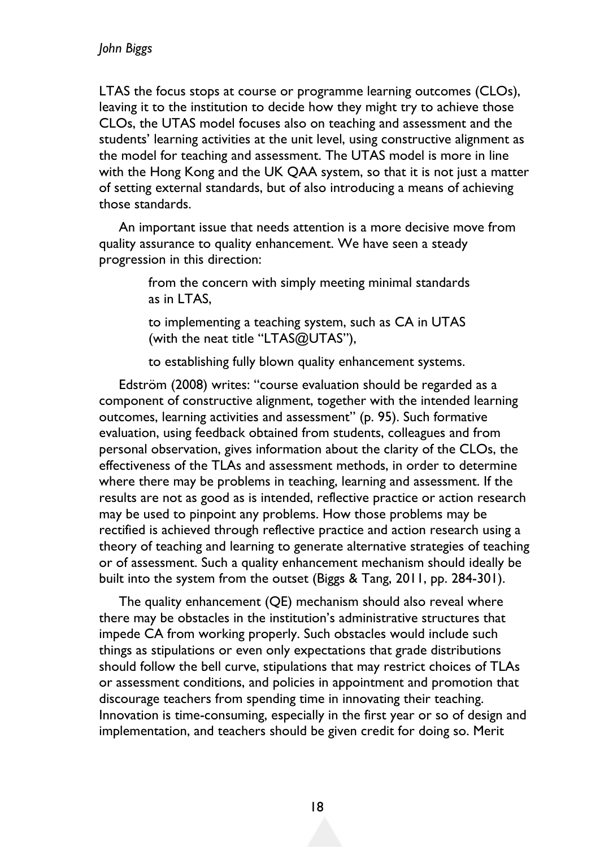LTAS the focus stops at course or programme learning outcomes (CLOs), leaving it to the institution to decide how they might try to achieve those CLOs, the UTAS model focuses also on teaching and assessment and the students' learning activities at the unit level, using constructive alignment as the model for teaching and assessment. The UTAS model is more in line with the Hong Kong and the UK QAA system, so that it is not just a matter of setting external standards, but of also introducing a means of achieving those standards.

An important issue that needs attention is a more decisive move from quality assurance to quality enhancement. We have seen a steady progression in this direction:

> from the concern with simply meeting minimal standards as in LTAS,

to implementing a teaching system, such as CA in UTAS (with the neat title "LTAS@UTAS"),

to establishing fully blown quality enhancement systems.

Edström (2008) writes: "course evaluation should be regarded as a component of constructive alignment, together with the intended learning outcomes, learning activities and assessment" (p. 95). Such formative evaluation, using feedback obtained from students, colleagues and from personal observation, gives information about the clarity of the CLOs, the effectiveness of the TLAs and assessment methods, in order to determine where there may be problems in teaching, learning and assessment. If the results are not as good as is intended, reflective practice or action research may be used to pinpoint any problems. How those problems may be rectified is achieved through reflective practice and action research using a theory of teaching and learning to generate alternative strategies of teaching or of assessment. Such a quality enhancement mechanism should ideally be built into the system from the outset (Biggs & Tang, 2011, pp. 284-301).

The quality enhancement (QE) mechanism should also reveal where there may be obstacles in the institution's administrative structures that impede CA from working properly. Such obstacles would include such things as stipulations or even only expectations that grade distributions should follow the bell curve, stipulations that may restrict choices of TLAs or assessment conditions, and policies in appointment and promotion that discourage teachers from spending time in innovating their teaching. Innovation is time-consuming, especially in the first year or so of design and implementation, and teachers should be given credit for doing so. Merit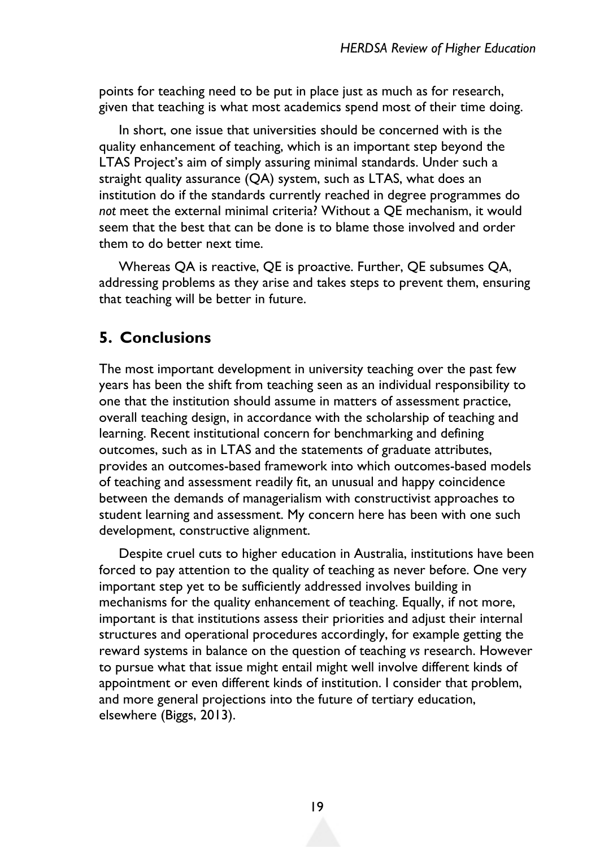points for teaching need to be put in place just as much as for research, given that teaching is what most academics spend most of their time doing.

In short, one issue that universities should be concerned with is the quality enhancement of teaching, which is an important step beyond the LTAS Project's aim of simply assuring minimal standards. Under such a straight quality assurance (QA) system, such as LTAS, what does an institution do if the standards currently reached in degree programmes do *not* meet the external minimal criteria? Without a QE mechanism, it would seem that the best that can be done is to blame those involved and order them to do better next time.

Whereas QA is reactive, QE is proactive. Further, QE subsumes QA, addressing problems as they arise and takes steps to prevent them, ensuring that teaching will be better in future.

### **5. Conclusions**

The most important development in university teaching over the past few years has been the shift from teaching seen as an individual responsibility to one that the institution should assume in matters of assessment practice, overall teaching design, in accordance with the scholarship of teaching and learning. Recent institutional concern for benchmarking and defining outcomes, such as in LTAS and the statements of graduate attributes, provides an outcomes-based framework into which outcomes-based models of teaching and assessment readily fit, an unusual and happy coincidence between the demands of managerialism with constructivist approaches to student learning and assessment. My concern here has been with one such development, constructive alignment.

Despite cruel cuts to higher education in Australia, institutions have been forced to pay attention to the quality of teaching as never before. One very important step yet to be sufficiently addressed involves building in mechanisms for the quality enhancement of teaching. Equally, if not more, important is that institutions assess their priorities and adjust their internal structures and operational procedures accordingly, for example getting the reward systems in balance on the question of teaching *vs* research. However to pursue what that issue might entail might well involve different kinds of appointment or even different kinds of institution. I consider that problem, and more general projections into the future of tertiary education, elsewhere (Biggs, 2013).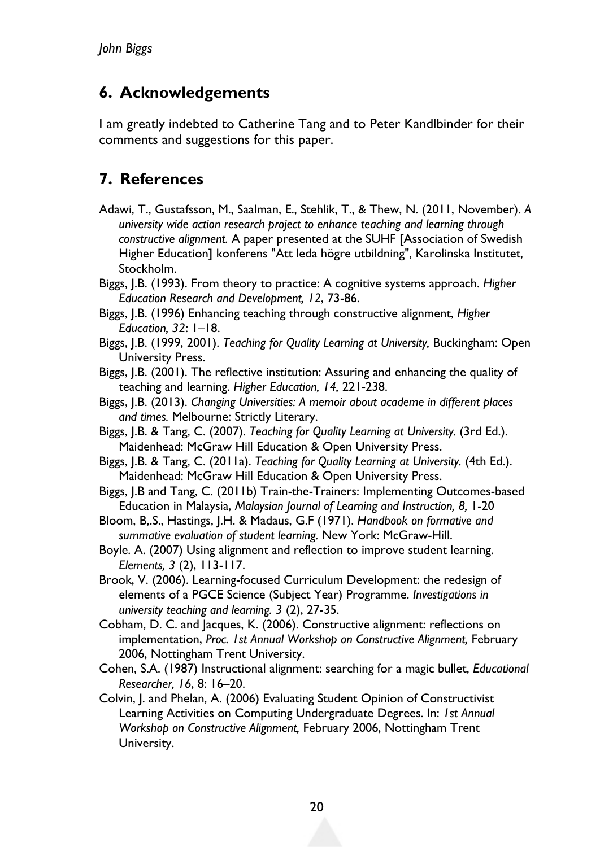## **6. Acknowledgements**

I am greatly indebted to Catherine Tang and to Peter Kandlbinder for their comments and suggestions for this paper.

# **7. References**

- Adawi, T., Gustafsson, M., Saalman, E., Stehlik, T., & Thew, N. (2011, November). *A university wide action research project to enhance teaching and learning through constructive alignment.* A paper presented at the SUHF [Association of Swedish Higher Education] konferens "Att leda högre utbildning", Karolinska Institutet, Stockholm.
- Biggs, J.B. (1993). From theory to practice: A cognitive systems approach. *Higher Education Research and Development, 12*, 73-86.
- Biggs, J.B. (1996) Enhancing teaching through constructive alignment, *Higher Education, 32*: 1–18.
- Biggs, J.B. (1999, 2001). *Teaching for Quality Learning at University,* Buckingham: Open University Press.
- Biggs, J.B. (2001). The reflective institution: Assuring and enhancing the quality of teaching and learning. *Higher Education, 14,* 221-238.
- Biggs, J.B. (2013). *Changing Universities: A memoir about academe in different places and times.* Melbourne: Strictly Literary.
- Biggs, J.B. & Tang, C. (2007). *Teaching for Quality Learning at University.* (3rd Ed.). Maidenhead: McGraw Hill Education & Open University Press.
- Biggs, J.B. & Tang, C. (2011a). *Teaching for Quality Learning at University.* (4th Ed.). Maidenhead: McGraw Hill Education & Open University Press.
- Biggs, J.B and Tang, C. (2011b) Train-the-Trainers: Implementing Outcomes-based Education in Malaysia, *Malaysian Journal of Learning and Instruction, 8,* 1-20
- Bloom, B,.S., Hastings, J.H. & Madaus, G.F (1971). *Handbook on formative and summative evaluation of student learning.* New York: McGraw-Hill.
- Boyle. A. (2007) Using alignment and reflection to improve student learning. *Elements, 3* (2), 113-117.
- Brook, V. (2006). Learning-focused Curriculum Development: the redesign of elements of a PGCE Science (Subject Year) Programme. *Investigations in university teaching and learning. 3* (2), 27-35.
- Cobham, D. C. and Jacques, K. (2006). Constructive alignment: reflections on implementation, *Proc. 1st Annual Workshop on Constructive Alignment,* February 2006, Nottingham Trent University.
- Cohen, S.A. (1987) Instructional alignment: searching for a magic bullet, *Educational Researcher, 16*, 8: 16–20.
- Colvin, J. and Phelan, A. (2006) Evaluating Student Opinion of Constructivist Learning Activities on Computing Undergraduate Degrees. In: *1st Annual Workshop on Constructive Alignment,* February 2006, Nottingham Trent University.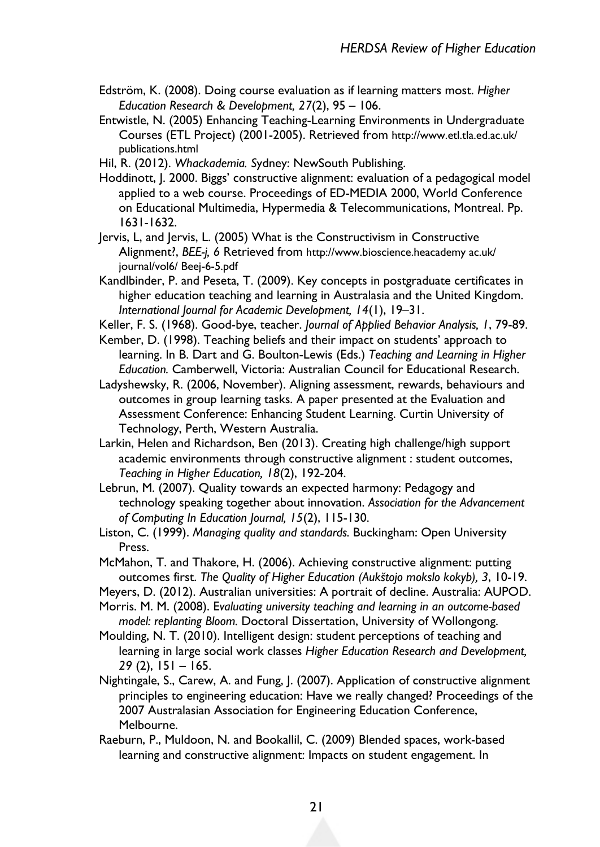- Edström, K. (2008). Doing course evaluation as if learning matters most. *Higher Education Research & Development, 27*(2), 95 – 106.
- Entwistle, N. (2005) Enhancing Teaching-Learning Environments in Undergraduate Courses (ETL Project) (2001-2005). Retrieved from http://www.etl.tla.ed.ac.uk/ publications.html

Hil, R. (2012). *Whackademia. S*ydney: NewSouth Publishing.

- Hoddinott, J. 2000. Biggs' constructive alignment: evaluation of a pedagogical model applied to a web course. Proceedings of ED-MEDIA 2000, World Conference on Educational Multimedia, Hypermedia & Telecommunications, Montreal. Pp. 1631-1632.
- Jervis, L, and Jervis, L. (2005) What is the Constructivism in Constructive Alignment?, *BEE-j, 6* Retrieved from http://www.bioscience.heacademy ac.uk/ journal/vol6/ Beej-6-5.pdf
- Kandlbinder, P. and Peseta, T. (2009). Key concepts in postgraduate certificates in higher education teaching and learning in Australasia and the United Kingdom. *International Journal for Academic Development, 14*(1), 19–31.
- Keller, F. S. (1968). Good-bye, teacher. *Journal of Applied Behavior Analysis, 1*, 79-89.
- Kember, D. (1998). Teaching beliefs and their impact on students' approach to learning. In B. Dart and G. Boulton-Lewis (Eds.) *Teaching and Learning in Higher Education.* Camberwell, Victoria: Australian Council for Educational Research.
- Ladyshewsky, R. (2006, November). Aligning assessment, rewards, behaviours and outcomes in group learning tasks. A paper presented at the Evaluation and Assessment Conference: Enhancing Student Learning. Curtin University of Technology, Perth, Western Australia.
- Larkin, Helen and Richardson, Ben (2013). Creating high challenge/high support academic environments through constructive alignment : student outcomes, *Teaching in Higher Education, 18*(2), 192-204.
- Lebrun, M. (2007). Quality towards an expected harmony: Pedagogy and technology speaking together about innovation. *Association for the Advancement of Computing In Education Journal, 15*(2), 115-130.
- Liston, C. (1999). *Managing quality and standards.* Buckingham: Open University Press.
- McMahon, T. and Thakore, H. (2006). Achieving constructive alignment: putting outcomes first. *The Quality of Higher Education (Aukštojo mokslo kokyb), 3*, 10-19.
- Meyers, D. (2012). Australian universities: A portrait of decline. Australia: AUPOD.
- Morris. M. M. (2008). E*valuating university teaching and learning in an outcome-based model: replanting Bloom.* Doctoral Dissertation, University of Wollongong.
- Moulding, N. T. (2010). Intelligent design: student perceptions of teaching and learning in large social work classes *Higher Education Research and Development, 29* (2), 151 – 165.
- Nightingale, S., Carew, A. and Fung, J. (2007). Application of constructive alignment principles to engineering education: Have we really changed? Proceedings of the 2007 Australasian Association for Engineering Education Conference, Melbourne.
- Raeburn, P., Muldoon, N. and Bookallil, C. (2009) Blended spaces, work-based learning and constructive alignment: Impacts on student engagement. In